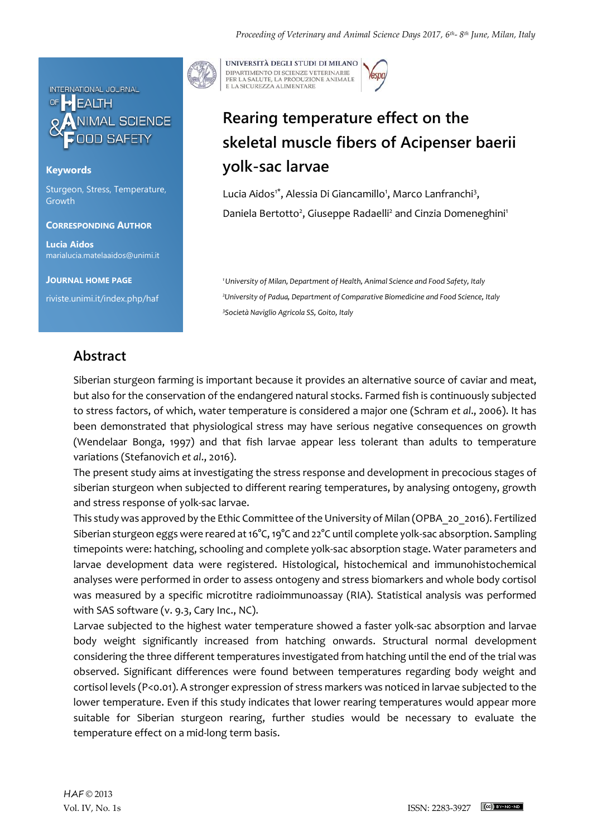

## **Keywords**

Sturgeon, Stress, Temperature, Growth

### **CORRESPONDING AUTHOR**

**Lucia Aidos** marialucia.matelaaidos@unimi.it

**JOURNAL HOME PAGE**

riviste.unimi.it/index.php/haf

UNIVERSITÀ DEGLI STUDI DI MILANO DIPARTIMENTO DI SCIENZE VETERINARIE PER LA SALUTE, LA PRODUZIONE ANIMALE<br>E LA SICUREZZA ALIMENTARE

# **Rearing temperature effect on the skeletal muscle fibers of Acipenser baerii yolk-sac larvae**

Lucia Aidos<sup>1\*</sup>, Alessia Di Giancamillo<sup>1</sup>, Marco Lanfranchi<sup>3</sup>, Daniela Bertotto<sup>2</sup>, Giuseppe Radaelli<sup>2</sup> and Cinzia Domeneghini<sup>1</sup>

*<sup>1</sup>University of Milan, Department of Health, Animal Science and Food Safety, Italy <sup>2</sup>University of Padua, Department of Comparative Biomedicine and Food Science, Italy <sup>3</sup>Società Naviglio Agricola SS, Goito, Italy*

## **Abstract**

Siberian sturgeon farming is important because it provides an alternative source of caviar and meat, but also for the conservation of the endangered natural stocks. Farmed fish is continuously subjected to stress factors, of which, water temperature is considered a major one (Schram *et al*., 2006). It has been demonstrated that physiological stress may have serious negative consequences on growth (Wendelaar Bonga, 1997) and that fish larvae appear less tolerant than adults to temperature variations (Stefanovich *et al*., 2016).

The present study aims at investigating the stress response and development in precocious stages of siberian sturgeon when subjected to different rearing temperatures, by analysing ontogeny, growth and stress response of yolk-sac larvae.

This study was approved by the Ethic Committee of the University of Milan (OPBA\_20\_2016). Fertilized Siberian sturgeon eggs were reared at 16°C, 19°C and 22°C until complete yolk-sac absorption. Sampling timepoints were: hatching, schooling and complete yolk-sac absorption stage. Water parameters and larvae development data were registered. Histological, histochemical and immunohistochemical analyses were performed in order to assess ontogeny and stress biomarkers and whole body cortisol was measured by a specific microtitre radioimmunoassay (RIA). Statistical analysis was performed with SAS software (v. 9.3, Cary Inc., NC).

Larvae subjected to the highest water temperature showed a faster yolk-sac absorption and larvae body weight significantly increased from hatching onwards. Structural normal development considering the three different temperatures investigated from hatching until the end of the trial was observed. Significant differences were found between temperatures regarding body weight and cortisol levels (P<0.01). A stronger expression of stress markers was noticed in larvae subjected to the lower temperature. Even if this study indicates that lower rearing temperatures would appear more suitable for Siberian sturgeon rearing, further studies would be necessary to evaluate the temperature effect on a mid-long term basis.